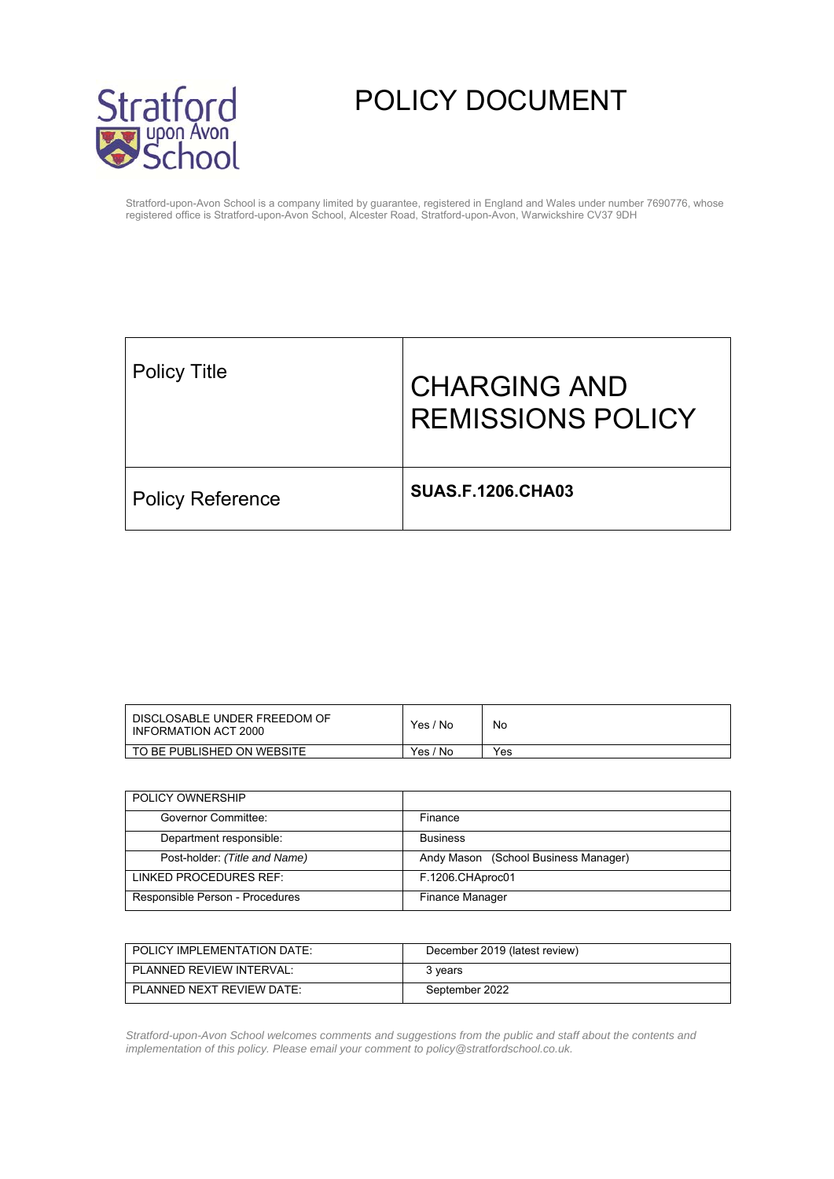

# POLICY DOCUMENT

Stratford-upon-Avon School is a company limited by guarantee, registered in England and Wales under number 7690776, whose registered office is Stratford-upon-Avon School, Alcester Road, Stratford-upon-Avon, Warwickshire CV37 9DH

| <b>Policy Title</b>     | <b>CHARGING AND</b><br><b>REMISSIONS POLICY</b> |
|-------------------------|-------------------------------------------------|
| <b>Policy Reference</b> | <b>SUAS.F.1206.CHA03</b>                        |

| DISCLOSABLE UNDER FREEDOM OF<br>INFORMATION ACT 2000 | ' No<br>Yes <sub>1</sub> | No  |
|------------------------------------------------------|--------------------------|-----|
| TO BE PUBLISHED ON WEBSITE                           | 'No<br>Yes.              | Yes |

| POLICY OWNERSHIP                |                                      |
|---------------------------------|--------------------------------------|
| Governor Committee:             | Finance                              |
| Department responsible:         | <b>Business</b>                      |
| Post-holder: (Title and Name)   | Andy Mason (School Business Manager) |
| LINKED PROCEDURES REF:          | F.1206.CHAproc01                     |
| Responsible Person - Procedures | <b>Finance Manager</b>               |

| POLICY IMPLEMENTATION DATE: | December 2019 (latest review) |
|-----------------------------|-------------------------------|
| PLANNED REVIEW INTERVAL:    | 3 years                       |
| PLANNED NEXT REVIEW DATE    | September 2022                |

*Stratford-upon-Avon School welcomes comments and suggestions from the public and staff about the contents and implementation of this policy. Please email your comment to policy@stratfordschool.co.uk.*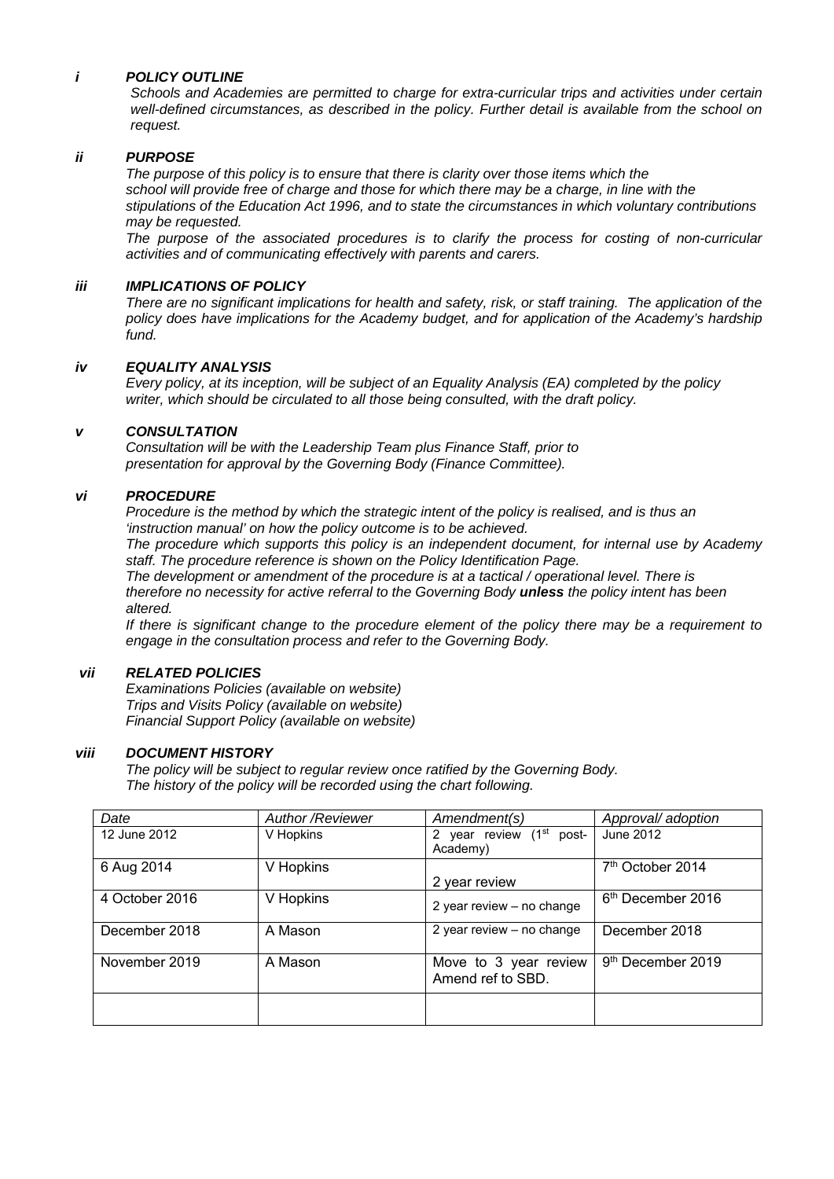#### *i POLICY OUTLINE*

*Schools and Academies are permitted to charge for extra-curricular trips and activities under certain well-defined circumstances, as described in the policy. Further detail is available from the school on request.* 

#### *ii PURPOSE*

*The purpose of this policy is to ensure that there is clarity over those items which the school will provide free of charge and those for which there may be a charge, in line with the stipulations of the Education Act 1996, and to state the circumstances in which voluntary contributions may be requested.* 

*The purpose of the associated procedures is to clarify the process for costing of non-curricular activities and of communicating effectively with parents and carers.* 

#### *iii IMPLICATIONS OF POLICY*

*There are no significant implications for health and safety, risk, or staff training. The application of the policy does have implications for the Academy budget, and for application of the Academy's hardship fund.* 

#### *iv EQUALITY ANALYSIS*

*Every policy, at its inception, will be subject of an Equality Analysis (EA) completed by the policy writer, which should be circulated to all those being consulted, with the draft policy.* 

#### *v CONSULTATION*

*Consultation will be with the Leadership Team plus Finance Staff, prior to presentation for approval by the Governing Body (Finance Committee).* 

#### *vi PROCEDURE*

*Procedure is the method by which the strategic intent of the policy is realised, and is thus an 'instruction manual' on how the policy outcome is to be achieved.* 

*The procedure which supports this policy is an independent document, for internal use by Academy staff. The procedure reference is shown on the Policy Identification Page.* 

*The development or amendment of the procedure is at a tactical / operational level. There is therefore no necessity for active referral to the Governing Body unless the policy intent has been altered.* 

*If there is significant change to the procedure element of the policy there may be a requirement to engage in the consultation process and refer to the Governing Body.* 

#### *vii RELATED POLICIES*

*Examinations Policies (available on website) Trips and Visits Policy (available on website) Financial Support Policy (available on website)* 

#### *viii DOCUMENT HISTORY*

*The policy will be subject to regular review once ratified by the Governing Body. The history of the policy will be recorded using the chart following.* 

| Date           | <b>Author /Reviewer</b> | Amendment(s)                                     | Approval/ adoption            |
|----------------|-------------------------|--------------------------------------------------|-------------------------------|
| 12 June 2012   | V Hopkins               | 2 year review (1 <sup>st</sup> post-<br>Academy) | June 2012                     |
| 6 Aug 2014     | V Hopkins               | 2 year review                                    | 7 <sup>th</sup> October 2014  |
| 4 October 2016 | V Hopkins               | 2 year review - no change                        | 6 <sup>th</sup> December 2016 |
| December 2018  | A Mason                 | 2 year review - no change                        | December 2018                 |
| November 2019  | A Mason                 | Move to 3 year review<br>Amend ref to SBD.       | 9 <sup>th</sup> December 2019 |
|                |                         |                                                  |                               |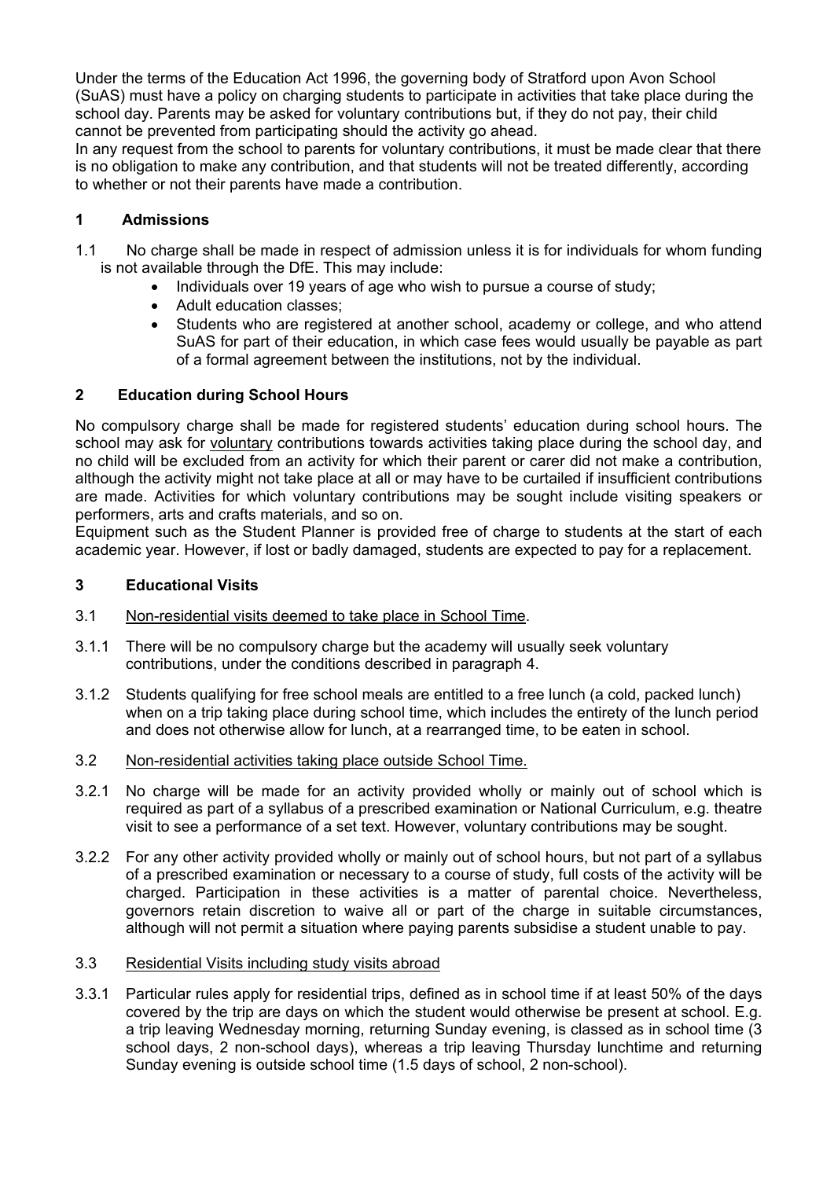Under the terms of the Education Act 1996, the governing body of Stratford upon Avon School (SuAS) must have a policy on charging students to participate in activities that take place during the school day. Parents may be asked for voluntary contributions but, if they do not pay, their child cannot be prevented from participating should the activity go ahead.

In any request from the school to parents for voluntary contributions, it must be made clear that there is no obligation to make any contribution, and that students will not be treated differently, according to whether or not their parents have made a contribution.

# **1 Admissions**

- 1.1 No charge shall be made in respect of admission unless it is for individuals for whom funding is not available through the DfE. This may include:
	- Individuals over 19 years of age who wish to pursue a course of study;
	- Adult education classes;
	- Students who are registered at another school, academy or college, and who attend SuAS for part of their education, in which case fees would usually be payable as part of a formal agreement between the institutions, not by the individual.

# **2 Education during School Hours**

No compulsory charge shall be made for registered students' education during school hours. The school may ask for voluntary contributions towards activities taking place during the school day, and no child will be excluded from an activity for which their parent or carer did not make a contribution, although the activity might not take place at all or may have to be curtailed if insufficient contributions are made. Activities for which voluntary contributions may be sought include visiting speakers or performers, arts and crafts materials, and so on.

Equipment such as the Student Planner is provided free of charge to students at the start of each academic year. However, if lost or badly damaged, students are expected to pay for a replacement.

## **3 Educational Visits**

- 3.1 Non-residential visits deemed to take place in School Time.
- 3.1.1 There will be no compulsory charge but the academy will usually seek voluntary contributions, under the conditions described in paragraph 4.
- 3.1.2 Students qualifying for free school meals are entitled to a free lunch (a cold, packed lunch) when on a trip taking place during school time, which includes the entirety of the lunch period and does not otherwise allow for lunch, at a rearranged time, to be eaten in school.
- 3.2 Non-residential activities taking place outside School Time.
- 3.2.1 No charge will be made for an activity provided wholly or mainly out of school which is required as part of a syllabus of a prescribed examination or National Curriculum, e.g. theatre visit to see a performance of a set text. However, voluntary contributions may be sought.
- 3.2.2 For any other activity provided wholly or mainly out of school hours, but not part of a syllabus of a prescribed examination or necessary to a course of study, full costs of the activity will be charged. Participation in these activities is a matter of parental choice. Nevertheless, governors retain discretion to waive all or part of the charge in suitable circumstances, although will not permit a situation where paying parents subsidise a student unable to pay.

# 3.3 Residential Visits including study visits abroad

3.3.1 Particular rules apply for residential trips, defined as in school time if at least 50% of the days covered by the trip are days on which the student would otherwise be present at school. E.g. a trip leaving Wednesday morning, returning Sunday evening, is classed as in school time (3 school days, 2 non-school days), whereas a trip leaving Thursday lunchtime and returning Sunday evening is outside school time (1.5 days of school, 2 non-school).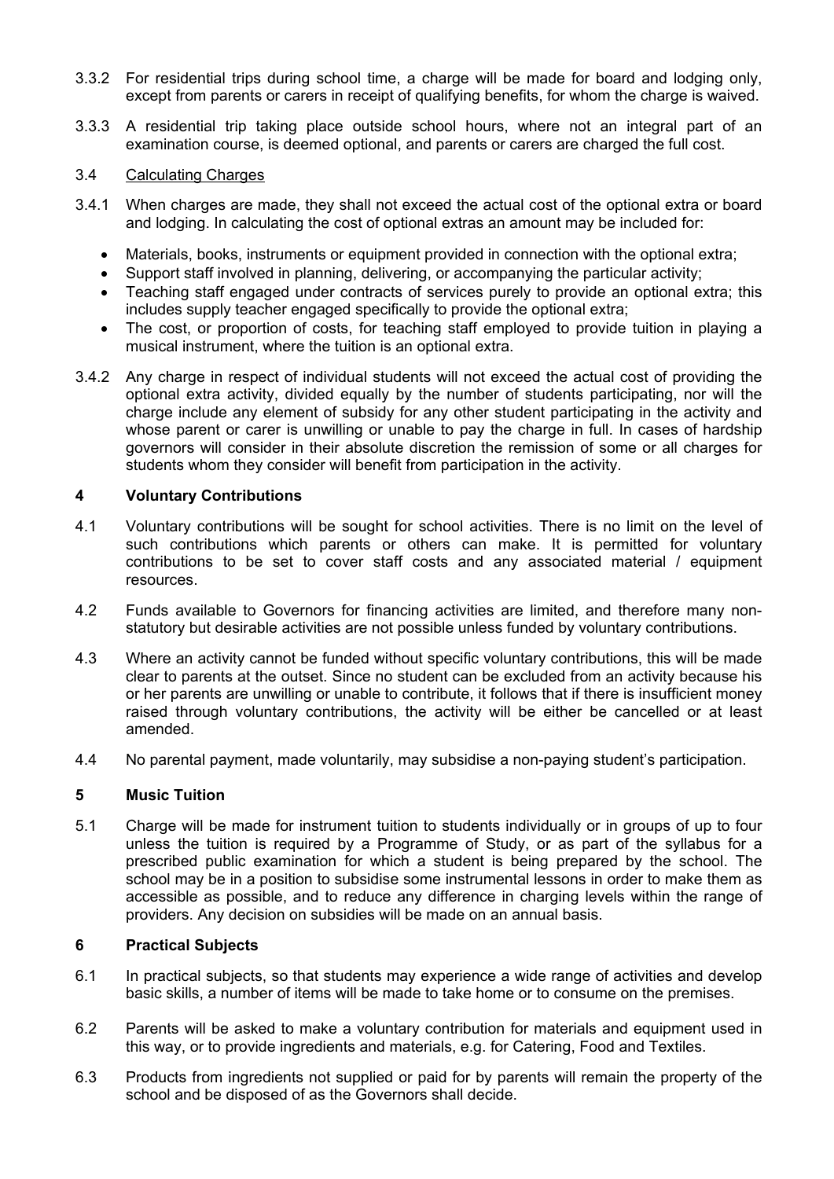- 3.3.2 For residential trips during school time, a charge will be made for board and lodging only, except from parents or carers in receipt of qualifying benefits, for whom the charge is waived.
- 3.3.3 A residential trip taking place outside school hours, where not an integral part of an examination course, is deemed optional, and parents or carers are charged the full cost.

## 3.4 Calculating Charges

- 3.4.1 When charges are made, they shall not exceed the actual cost of the optional extra or board and lodging. In calculating the cost of optional extras an amount may be included for:
	- Materials, books, instruments or equipment provided in connection with the optional extra;
	- Support staff involved in planning, delivering, or accompanying the particular activity;
	- Teaching staff engaged under contracts of services purely to provide an optional extra; this includes supply teacher engaged specifically to provide the optional extra;
	- The cost, or proportion of costs, for teaching staff employed to provide tuition in playing a musical instrument, where the tuition is an optional extra.
- 3.4.2 Any charge in respect of individual students will not exceed the actual cost of providing the optional extra activity, divided equally by the number of students participating, nor will the charge include any element of subsidy for any other student participating in the activity and whose parent or carer is unwilling or unable to pay the charge in full. In cases of hardship governors will consider in their absolute discretion the remission of some or all charges for students whom they consider will benefit from participation in the activity.

# **4 Voluntary Contributions**

- 4.1 Voluntary contributions will be sought for school activities. There is no limit on the level of such contributions which parents or others can make. It is permitted for voluntary contributions to be set to cover staff costs and any associated material / equipment resources.
- 4.2 Funds available to Governors for financing activities are limited, and therefore many nonstatutory but desirable activities are not possible unless funded by voluntary contributions.
- 4.3 Where an activity cannot be funded without specific voluntary contributions, this will be made clear to parents at the outset. Since no student can be excluded from an activity because his or her parents are unwilling or unable to contribute, it follows that if there is insufficient money raised through voluntary contributions, the activity will be either be cancelled or at least amended.
- 4.4 No parental payment, made voluntarily, may subsidise a non-paying student's participation.

## **5 Music Tuition**

5.1 Charge will be made for instrument tuition to students individually or in groups of up to four unless the tuition is required by a Programme of Study, or as part of the syllabus for a prescribed public examination for which a student is being prepared by the school. The school may be in a position to subsidise some instrumental lessons in order to make them as accessible as possible, and to reduce any difference in charging levels within the range of providers. Any decision on subsidies will be made on an annual basis.

# **6 Practical Subjects**

- 6.1 In practical subjects, so that students may experience a wide range of activities and develop basic skills, a number of items will be made to take home or to consume on the premises.
- 6.2 Parents will be asked to make a voluntary contribution for materials and equipment used in this way, or to provide ingredients and materials, e.g. for Catering, Food and Textiles.
- 6.3 Products from ingredients not supplied or paid for by parents will remain the property of the school and be disposed of as the Governors shall decide.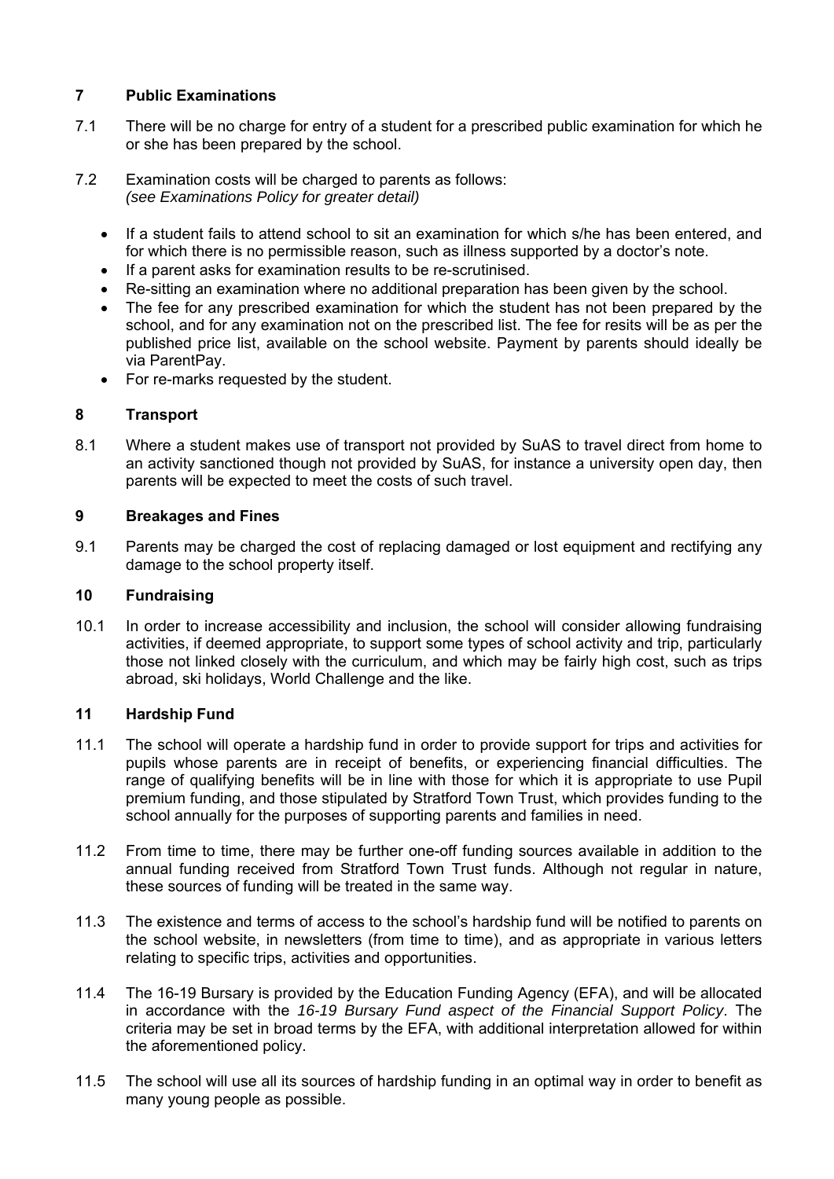# **7 Public Examinations**

- 7.1 There will be no charge for entry of a student for a prescribed public examination for which he or she has been prepared by the school.
- 7.2 Examination costs will be charged to parents as follows: *(see Examinations Policy for greater detail)* 
	- If a student fails to attend school to sit an examination for which s/he has been entered, and for which there is no permissible reason, such as illness supported by a doctor's note.
	- If a parent asks for examination results to be re-scrutinised.
	- Re-sitting an examination where no additional preparation has been given by the school.
	- The fee for any prescribed examination for which the student has not been prepared by the school, and for any examination not on the prescribed list. The fee for resits will be as per the published price list, available on the school website. Payment by parents should ideally be via ParentPay.
	- For re-marks requested by the student.

# **8 Transport**

8.1 Where a student makes use of transport not provided by SuAS to travel direct from home to an activity sanctioned though not provided by SuAS, for instance a university open day, then parents will be expected to meet the costs of such travel.

# **9 Breakages and Fines**

9.1 Parents may be charged the cost of replacing damaged or lost equipment and rectifying any damage to the school property itself.

# **10 Fundraising**

10.1 In order to increase accessibility and inclusion, the school will consider allowing fundraising activities, if deemed appropriate, to support some types of school activity and trip, particularly those not linked closely with the curriculum, and which may be fairly high cost, such as trips abroad, ski holidays, World Challenge and the like.

# **11 Hardship Fund**

- 11.1 The school will operate a hardship fund in order to provide support for trips and activities for pupils whose parents are in receipt of benefits, or experiencing financial difficulties. The range of qualifying benefits will be in line with those for which it is appropriate to use Pupil premium funding, and those stipulated by Stratford Town Trust, which provides funding to the school annually for the purposes of supporting parents and families in need.
- 11.2 From time to time, there may be further one-off funding sources available in addition to the annual funding received from Stratford Town Trust funds. Although not regular in nature, these sources of funding will be treated in the same way.
- 11.3 The existence and terms of access to the school's hardship fund will be notified to parents on the school website, in newsletters (from time to time), and as appropriate in various letters relating to specific trips, activities and opportunities.
- 11.4 The 16-19 Bursary is provided by the Education Funding Agency (EFA), and will be allocated in accordance with the *16-19 Bursary Fund aspect of the Financial Support Policy*. The criteria may be set in broad terms by the EFA, with additional interpretation allowed for within the aforementioned policy.
- 11.5 The school will use all its sources of hardship funding in an optimal way in order to benefit as many young people as possible.